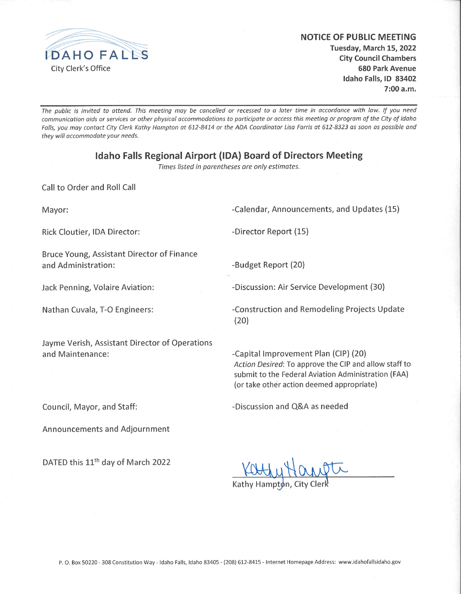

### **NOTICE OF PUBLIC MEETING** Tuesday, March 15, 2022 **City Council Chambers 680 Park Avenue** Idaho Falls, ID 83402

 $7:00 a.m.$ 

The public is invited to attend. This meeting may be cancelled or recessed to a later time in accordance with law. If you need communication aids or services or other physical accommodations to participate or access this meeting or program of the City of Idaho Falls, you may contact City Clerk Kathy Hampton at 612-8414 or the ADA Coordinator Lisa Farris at 612-8323 as soon as possible and they will accommodate your needs.

### **Idaho Falls Regional Airport (IDA) Board of Directors Meeting**

Times listed in parentheses are only estimates.

Call to Order and Roll Call

Mayor:

-Calendar, Announcements, and Updates (15)

Rick Cloutier, IDA Director:

-Director Report (15)

Bruce Young, Assistant Director of Finance and Administration:

Jack Penning, Volaire Aviation:

Nathan Cuvala, T-O Engineers:

Jayme Verish, Assistant Director of Operations and Maintenance:

-Budget Report (20)

-Discussion: Air Service Development (30)

-Construction and Remodeling Projects Update  $(20)$ 

-Capital Improvement Plan (CIP) (20) Action Desired: To approve the CIP and allow staff to submit to the Federal Aviation Administration (FAA) (or take other action deemed appropriate)

Council, Mayor, and Staff:

Announcements and Adjournment

DATED this 11<sup>th</sup> day of March 2022

Kathy Hampton

-Discussion and O&A as needed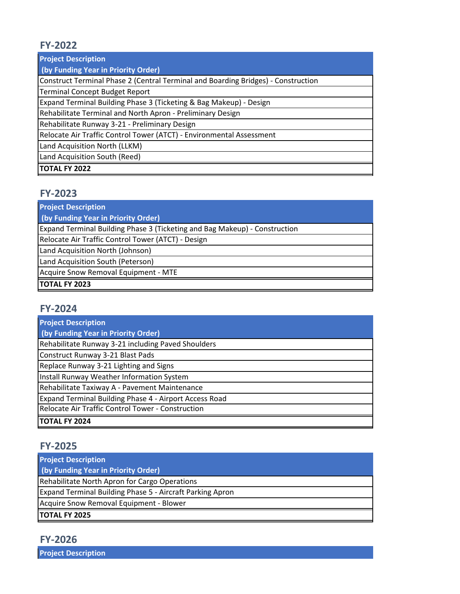# **FY-2022**

**Project Description**

 **(by Funding Year in Priority Order)**

Construct Terminal Phase 2 (Central Terminal and Boarding Bridges) - Construction

Terminal Concept Budget Report

Expand Terminal Building Phase 3 (Ticketing & Bag Makeup) - Design

Rehabilitate Terminal and North Apron - Preliminary Design

Rehabilitate Runway 3-21 - Preliminary Design

Relocate Air Traffic Control Tower (ATCT) - Environmental Assessment

Land Acquisition North (LLKM)

Land Acquisition South (Reed)

**TOTAL FY 2022**

# **FY-2023**

**Project Description**

 **(by Funding Year in Priority Order)**

Expand Terminal Building Phase 3 (Ticketing and Bag Makeup) - Construction

Relocate Air Traffic Control Tower (ATCT) - Design

Land Acquisition North (Johnson)

Land Acquisition South (Peterson)

Acquire Snow Removal Equipment - MTE

#### **TOTAL FY 2023**

# **FY-2024**

| <b>Project Description</b>                             |
|--------------------------------------------------------|
| (by Funding Year in Priority Order)                    |
| Rehabilitate Runway 3-21 including Paved Shoulders     |
| Construct Runway 3-21 Blast Pads                       |
| Replace Runway 3-21 Lighting and Signs                 |
| Install Runway Weather Information System              |
| Rehabilitate Taxiway A - Pavement Maintenance          |
| Expand Terminal Building Phase 4 - Airport Access Road |
| Relocate Air Traffic Control Tower - Construction      |
| <b>TOTAL FY 2024</b>                                   |

# **FY-2025**

| <b>Project Description</b>                                |
|-----------------------------------------------------------|
| (by Funding Year in Priority Order)                       |
| Rehabilitate North Apron for Cargo Operations             |
| Expand Terminal Building Phase 5 - Aircraft Parking Apron |
| Acquire Snow Removal Equipment - Blower                   |
| <b>TOTAL FY 2025</b>                                      |

**Project Description**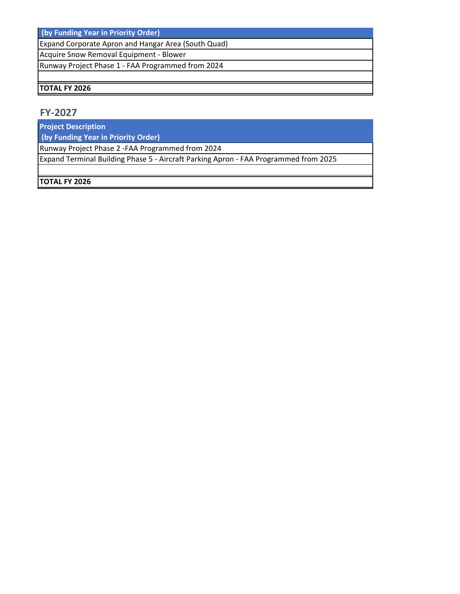**(by Funding Year in Priority Order)**

Expand Corporate Apron and Hangar Area (South Quad)

Acquire Snow Removal Equipment - Blower

Runway Project Phase 1 - FAA Programmed from 2024

### **TOTAL FY 2026**

## **FY-2027**

**Project Description**

 **(by Funding Year in Priority Order)**

Runway Project Phase 2 -FAA Programmed from 2024

Expand Terminal Building Phase 5 - Aircraft Parking Apron - FAA Programmed from 2025

### **TOTAL FY 2026**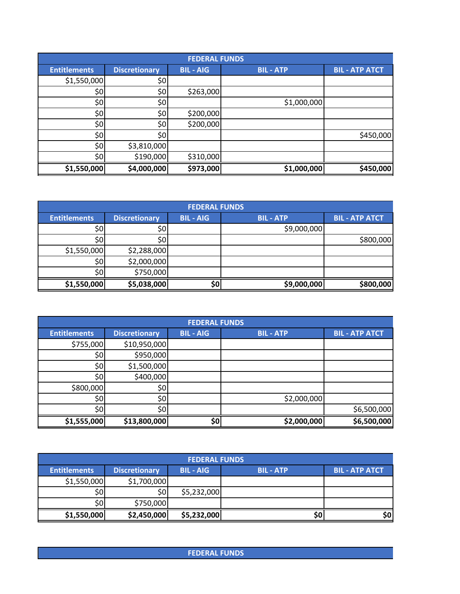|                     |                      | <b>FEDERAL FUNDS</b> |                |                       |
|---------------------|----------------------|----------------------|----------------|-----------------------|
| <b>Entitlements</b> | <b>Discretionary</b> | <b>BIL-AIG</b>       | <b>BIL-ATP</b> | <b>BIL - ATP ATCT</b> |
| \$1,550,000         | \$0                  |                      |                |                       |
| \$٥                 | \$0                  | \$263,000            |                |                       |
| \$0                 | \$0                  |                      | \$1,000,000    |                       |
| \$0                 | \$0                  | \$200,000            |                |                       |
| 50                  | \$0                  | \$200,000            |                |                       |
| \$0                 | \$0                  |                      |                | \$450,000             |
| 50                  | \$3,810,000          |                      |                |                       |
| 50                  | \$190,000            | \$310,000            |                |                       |
| \$1,550,000         | \$4,000,000          | \$973,000            | \$1,000,000    | \$450,000             |

|                     | <b>FEDERAL FUNDS</b> |                |                |                       |  |  |
|---------------------|----------------------|----------------|----------------|-----------------------|--|--|
| <b>Entitlements</b> | <b>Discretionary</b> | <b>BIL-AIG</b> | <b>BIL-ATP</b> | <b>BIL - ATP ATCT</b> |  |  |
| \$0                 | \$0 <sub>1</sub>     |                | \$9,000,000    |                       |  |  |
| \$0                 | \$0 <sub>l</sub>     |                |                | \$800,000             |  |  |
| \$1,550,000         | \$2,288,000          |                |                |                       |  |  |
| \$0 <sub>1</sub>    | \$2,000,000          |                |                |                       |  |  |
| \$٥Ι                | \$750,000            |                |                |                       |  |  |
| \$1,550,000         | \$5,038,000          | \$0            | \$9,000,000    | \$800,000             |  |  |

|                     |                      | <b>FEDERAL FUNDS</b> |                |                       |
|---------------------|----------------------|----------------------|----------------|-----------------------|
| <b>Entitlements</b> | <b>Discretionary</b> | <b>BIL-AIG</b>       | <b>BIL-ATP</b> | <b>BIL - ATP ATCT</b> |
| \$755,000           | \$10,950,000         |                      |                |                       |
| \$0                 | \$950,000            |                      |                |                       |
| \$٥                 | \$1,500,000          |                      |                |                       |
| \$٥                 | \$400,000            |                      |                |                       |
| \$800,000           | \$0                  |                      |                |                       |
| \$٥                 | \$0                  |                      | \$2,000,000    |                       |
| \$٥                 | 50 <sub>l</sub>      |                      |                | \$6,500,000           |
| \$1,555,000         | \$13,800,000         | \$0                  | \$2,000,000    | \$6,500,000           |

| <b>FEDERAL FUNDS</b> |                      |                |                |                       |  |
|----------------------|----------------------|----------------|----------------|-----------------------|--|
| <b>Entitlements</b>  | <b>Discretionary</b> | <b>BIL-AIG</b> | <b>BIL-ATP</b> | <b>BIL - ATP ATCT</b> |  |
| \$1,550,000          | \$1,700,000          |                |                |                       |  |
| 50                   | \$0                  | \$5,232,000    |                |                       |  |
| 50                   | \$750,000            |                |                |                       |  |
| \$1,550,000          | \$2,450,000          | \$5,232,000    | SOI            | 50                    |  |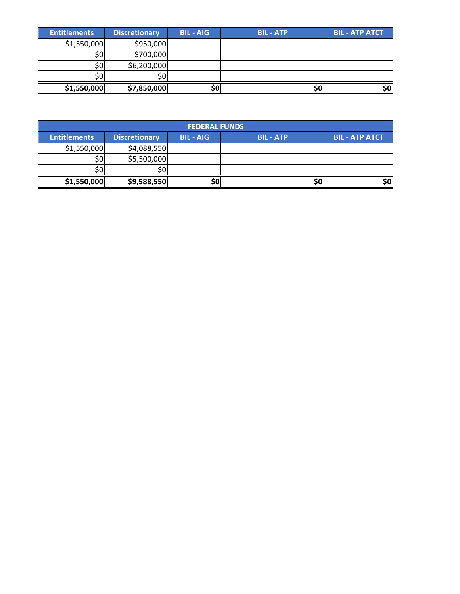| <b>Entitlements</b> | <b>Discretionary</b> | <b>BIL-AIG</b> | <b>BIL-ATP</b> | <b>BIL - ATP ATCT</b> |
|---------------------|----------------------|----------------|----------------|-----------------------|
| \$1,550,000         | \$950,000            |                |                |                       |
| S0                  | \$700,000            |                |                |                       |
| S0                  | \$6,200,000          |                |                |                       |
|                     | \$0                  |                |                |                       |
| \$1,550,000         | \$7,850,000          |                |                | \$0                   |

| <b>FEDERAL FUNDS</b> |                      |                |                |                       |  |
|----------------------|----------------------|----------------|----------------|-----------------------|--|
| <b>Entitlements</b>  | <b>Discretionary</b> | <b>BIL-AIG</b> | <b>BIL-ATP</b> | <b>BIL - ATP ATCT</b> |  |
| \$1,550,000          | \$4,088,550          |                |                |                       |  |
| \$٥                  | \$5,500,000          |                |                |                       |  |
| ا0\$                 | \$0                  |                |                |                       |  |
| \$1,550,000          | \$9,588,550          | \$0            | Ş0             | \$٥                   |  |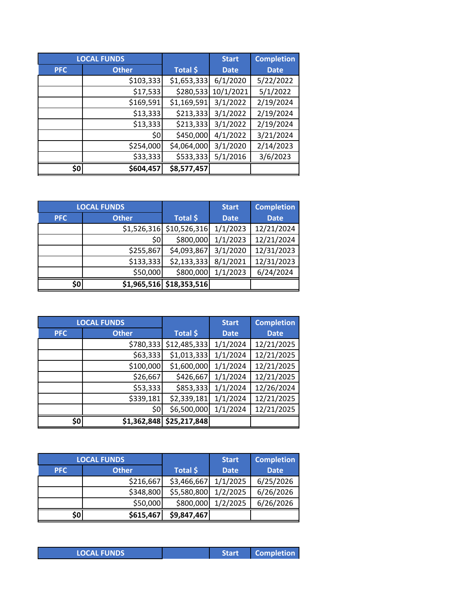|            | <b>LOCAL FUNDS</b> |             | <b>Start</b> | <b>Completion</b> |
|------------|--------------------|-------------|--------------|-------------------|
| <b>PFC</b> | <b>Other</b>       | Total \$    | <b>Date</b>  | <b>Date</b>       |
|            | \$103,333          | \$1,653,333 | 6/1/2020     | 5/22/2022         |
|            | \$17,533           | \$280,533   | 10/1/2021    | 5/1/2022          |
|            | \$169,591          | \$1,169,591 | 3/1/2022     | 2/19/2024         |
|            | \$13,333           | \$213,333   | 3/1/2022     | 2/19/2024         |
|            | \$13,333           | \$213,333   | 3/1/2022     | 2/19/2024         |
|            | \$0                | \$450,000   | 4/1/2022     | 3/21/2024         |
|            | \$254,000          | \$4,064,000 | 3/1/2020     | 2/14/2023         |
|            | \$33,333           | \$533,333   | 5/1/2016     | 3/6/2023          |
| \$0        | \$604,457          | \$8,577,457 |              |                   |

|            | <b>LOCAL FUNDS</b> |                            | <b>Start</b> | <b>Completion</b> |
|------------|--------------------|----------------------------|--------------|-------------------|
| <b>PFC</b> | <b>Other</b>       | Total \$                   | <b>Date</b>  | <b>Date</b>       |
|            |                    | $$1,526,316$ $$10,526,316$ | 1/1/2023     | 12/21/2024        |
|            | \$0                | \$800,000                  | 1/1/2023     | 12/21/2024        |
|            | \$255,867          | \$4,093,867                | 3/1/2020     | 12/31/2023        |
|            | \$133,333          | \$2,133,333                | 8/1/2021     | 12/31/2023        |
|            | \$50,000           | \$800,000                  | 1/1/2023     | 6/24/2024         |
| \$0        |                    | $$1,965,516$ $$18,353,516$ |              |                   |

|            | <b>LOCAL FUNDS</b> |              | <b>Start</b> | <b>Completion</b> |
|------------|--------------------|--------------|--------------|-------------------|
| <b>PFC</b> | <b>Other</b>       | Total \$     | <b>Date</b>  | <b>Date</b>       |
|            | \$780,333          | \$12,485,333 | 1/1/2024     | 12/21/2025        |
|            | \$63,333           | \$1,013,333  | 1/1/2024     | 12/21/2025        |
|            | \$100,000          | \$1,600,000  | 1/1/2024     | 12/21/2025        |
|            | \$26,667           | \$426,667    | 1/1/2024     | 12/21/2025        |
|            | \$53,333           | \$853,333    | 1/1/2024     | 12/26/2024        |
|            | \$339,181          | \$2,339,181  | 1/1/2024     | 12/21/2025        |
|            | \$0                | \$6,500,000  | 1/1/2024     | 12/21/2025        |
| \$0        | \$1,362,848        | \$25,217,848 |              |                   |

|            | <b>LOCAL FUNDS</b> |             | <b>Start</b> | <b>Completion</b> |
|------------|--------------------|-------------|--------------|-------------------|
| <b>PFC</b> | <b>Other</b>       | Total \$    | <b>Date</b>  | <b>Date</b>       |
|            | \$216,667          | \$3,466,667 | 1/1/2025     | 6/25/2026         |
|            | \$348,800          | \$5,580,800 | 1/2/2025     | 6/26/2026         |
|            | \$50,000           | \$800,000   | 1/2/2025     | 6/26/2026         |
| \$0        | \$615,467          | \$9,847,467 |              |                   |

|  | <b>LOCAL FUNDS</b> |  |  |
|--|--------------------|--|--|
|  |                    |  |  |
|  |                    |  |  |